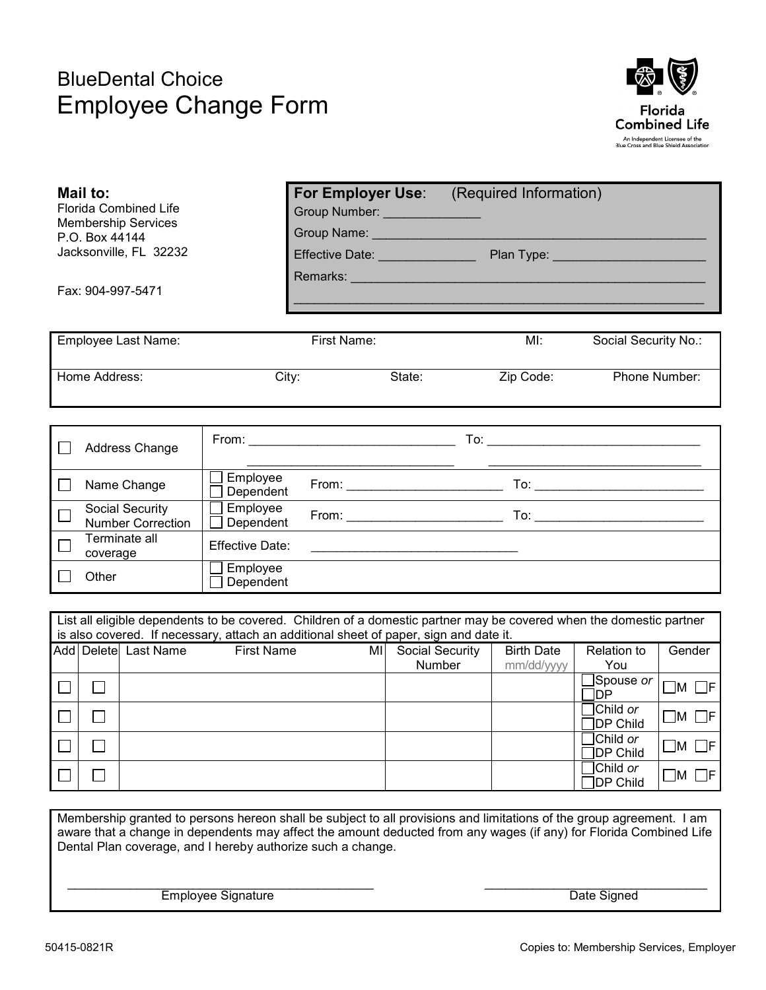## BlueDental Choice Employee Change Form



|                                                                                                                                                                                                              | Mail to:<br>P.O. Box 44144                  | <b>Florida Combined Life</b><br><b>Membership Services</b><br>Jacksonville, FL 32232 |                        |    | Group Number: Call Company Control Company Company Company Company Company Company Company Company Company Com<br>Group Name: Call Communication  | For Employer Use: (Required Information)<br>Plan Type: _________________________ |                           |                   |  |
|--------------------------------------------------------------------------------------------------------------------------------------------------------------------------------------------------------------|---------------------------------------------|--------------------------------------------------------------------------------------|------------------------|----|---------------------------------------------------------------------------------------------------------------------------------------------------|----------------------------------------------------------------------------------|---------------------------|-------------------|--|
| Fax: 904-997-5471                                                                                                                                                                                            |                                             |                                                                                      |                        |    | Effective Date: _______________<br>Remarks: North American Communication of the Communication of the Communication of the Communication of the Co |                                                                                  |                           |                   |  |
| <b>Employee Last Name:</b>                                                                                                                                                                                   |                                             |                                                                                      | First Name:            |    |                                                                                                                                                   | MI:                                                                              | Social Security No.:      |                   |  |
| Home Address:                                                                                                                                                                                                |                                             |                                                                                      | City:                  |    | State:                                                                                                                                            | Zip Code:                                                                        |                           | Phone Number:     |  |
|                                                                                                                                                                                                              |                                             |                                                                                      |                        |    |                                                                                                                                                   |                                                                                  |                           |                   |  |
|                                                                                                                                                                                                              |                                             | Address Change                                                                       |                        |    |                                                                                                                                                   |                                                                                  |                           |                   |  |
| $\mathsf{L}$                                                                                                                                                                                                 |                                             | Name Change                                                                          | Employee<br>Dependent  |    |                                                                                                                                                   |                                                                                  |                           |                   |  |
|                                                                                                                                                                                                              | Social Security<br><b>Number Correction</b> |                                                                                      | Employee<br>Dependent  |    |                                                                                                                                                   |                                                                                  |                           |                   |  |
|                                                                                                                                                                                                              | Terminate all<br>coverage                   |                                                                                      | <b>Effective Date:</b> |    |                                                                                                                                                   |                                                                                  |                           |                   |  |
| Other                                                                                                                                                                                                        |                                             | Employee<br>Dependent                                                                |                        |    |                                                                                                                                                   |                                                                                  |                           |                   |  |
| List all eligible dependents to be covered. Children of a domestic partner may be covered when the domestic partner<br>is also covered. If necessary, attach an additional sheet of paper, sign and date it. |                                             |                                                                                      |                        |    |                                                                                                                                                   |                                                                                  |                           |                   |  |
|                                                                                                                                                                                                              |                                             | Add Delete Last Name                                                                 | <b>First Name</b>      | MI | <b>Social Security</b><br><b>Number</b>                                                                                                           | <b>Birth Date</b><br>mm/dd/yyyy                                                  | <b>Relation to</b><br>You | Gender            |  |
| $\Box$                                                                                                                                                                                                       | $\perp$                                     |                                                                                      |                        |    |                                                                                                                                                   |                                                                                  | Spouse or<br>lDP          | $\Box$ M $\Box$ F |  |
| $\Box$                                                                                                                                                                                                       |                                             |                                                                                      |                        |    |                                                                                                                                                   |                                                                                  | Child or                  | ⊟ங ⊟⊏             |  |

 $\Box$ DP Child  $\Box^{m}$ Child *or*   $\Box$  $\Box$  $\Box$ DP Child  $\Box$ M  $\Box$ F Child *or*   $\Box$  $\Box$ DP Child  $\Box$ M  $\Box$ F

Membership granted to persons hereon shall be subject to all provisions and limitations of the group agreement. I am aware that a change in dependents may affect the amount deducted from any wages (if any) for Florida Combined Life Dental Plan coverage, and I hereby authorize such a change.

\_\_\_\_\_\_\_\_\_\_\_\_\_\_\_\_\_\_\_\_\_\_\_\_\_\_\_\_\_\_\_\_\_\_\_\_\_\_\_\_\_\_\_\_ \_\_\_\_\_\_\_\_\_\_\_\_\_\_\_\_\_\_\_\_\_\_\_\_\_\_\_\_\_\_\_\_

Employee Signature **Date Signature Date Signed**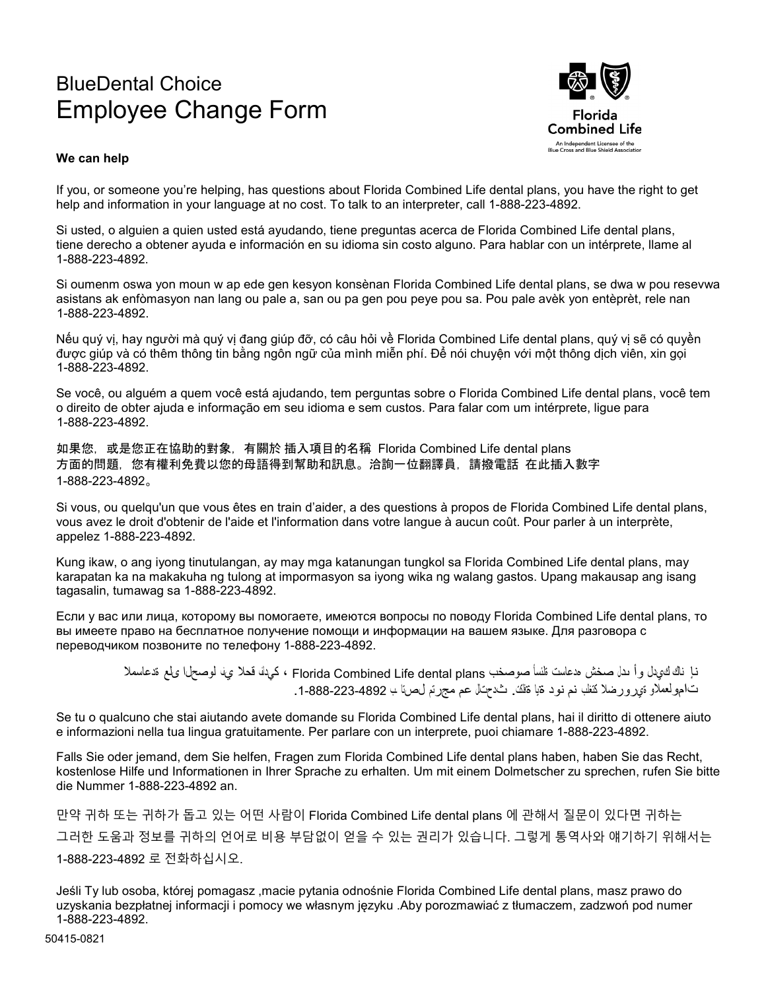## BlueDental Choice Employee Change Form



## **We can help**

If you, or someone you're helping, has questions about Florida Combined Life dental plans, you have the right to get help and information in your language at no cost. To talk to an interpreter, call 1-888-223-4892.

Si usted, o alguien a quien usted está ayudando, tiene preguntas acerca de Florida Combined Life dental plans, tiene derecho a obtener ayuda e información en su idioma sin costo alguno. Para hablar con un intérprete, llame al 1-888-223-4892.

Si oumenm oswa yon moun w ap ede gen kesyon konsènan Florida Combined Life dental plans, se dwa w pou resevwa asistans ak enfòmasyon nan lang ou pale a, san ou pa gen pou peye pou sa. Pou pale avèk yon entèprèt, rele nan 1-888-223-4892.

Nếu quý vị, hay người mà quý vị đang giúp đỡ, có câu hỏi về Florida Combined Life dental plans, quý vị sẽ có quyền được giúp và có thêm thông tin bằng ngôn ngữ của mình miễn phí. Để nói chuyện với một thông dịch viên, xin gọi 1-888-223-4892.

Se você, ou alguém a quem você está ajudando, tem perguntas sobre o Florida Combined Life dental plans, você tem o direito de obter ajuda e informação em seu idioma e sem custos. Para falar com um intérprete, ligue para 1-888-223-4892.

如果您,或是您正在協助的對象,有關於 插入項目的名稱 Florida Combined Life dental plans 方面的問題,您有權利免費以您的母語得到幫助和訊息。洽詢一位翻譯員,請撥電話 在此插入數字 1-888-223-4892。

Si vous, ou quelqu'un que vous êtes en train d'aider, a des questions à propos de Florida Combined Life dental plans, vous avez le droit d'obtenir de l'aide et l'information dans votre langue à aucun coût. Pour parler à un interprète, appelez 1-888-223-4892.

Kung ikaw, o ang iyong tinutulangan, ay may mga katanungan tungkol sa Florida Combined Life dental plans, may karapatan ka na makakuha ng tulong at impormasyon sa iyong wika ng walang gastos. Upang makausap ang isang tagasalin, tumawag sa 1-888-223-4892.

Если у вас или лица, которому вы помогаете, имеются вопросы по поводу Florida Combined Life dental plans, то вы имеете право на бесплатное получение помощи и информации на вашем языке. Для разговора с переводчиком позвоните по телефону 1-888-223-4892.

> نإ ناك كيدل وأ ىدل صخش هدعاست ةلئسأ صوصخب plans dental Life Combined Florida ، كيدلف قحلا يف لوصحلا ىلع ةدعاسملا تامولعملاو ةيرورضلا كتغلب نم نود ةیا ةفلكت. ثدحتلل عم مجرتم لصتا ـب .1-888-223-4892

Se tu o qualcuno che stai aiutando avete domande su Florida Combined Life dental plans, hai il diritto di ottenere aiuto e informazioni nella tua lingua gratuitamente. Per parlare con un interprete, puoi chiamare 1-888-223-4892.

Falls Sie oder jemand, dem Sie helfen, Fragen zum Florida Combined Life dental plans haben, haben Sie das Recht, kostenlose Hilfe und Informationen in Ihrer Sprache zu erhalten. Um mit einem Dolmetscher zu sprechen, rufen Sie bitte die Nummer 1-888-223-4892 an.

만약 귀하 또는 귀하가 돕고 있는 어떤 사람이 Florida Combined Life dental plans 에 관해서 질문이 있다면 귀하는 그러한 도움과 정보를 귀하의 언어로 비용 부담없이 얻을 수 있는 권리가 있습니다. 그렇게 통역사와 얘기하기 위해서는 1-888-223-4892 로 전화하십시오.

Jeśli Ty lub osoba, której pomagasz ,macie pytania odnośnie Florida Combined Life dental plans, masz prawo do uzyskania bezpłatnej informacji i pomocy we własnym języku .Aby porozmawiać z tłumaczem, zadzwoń pod numer 1-888-223-4892.